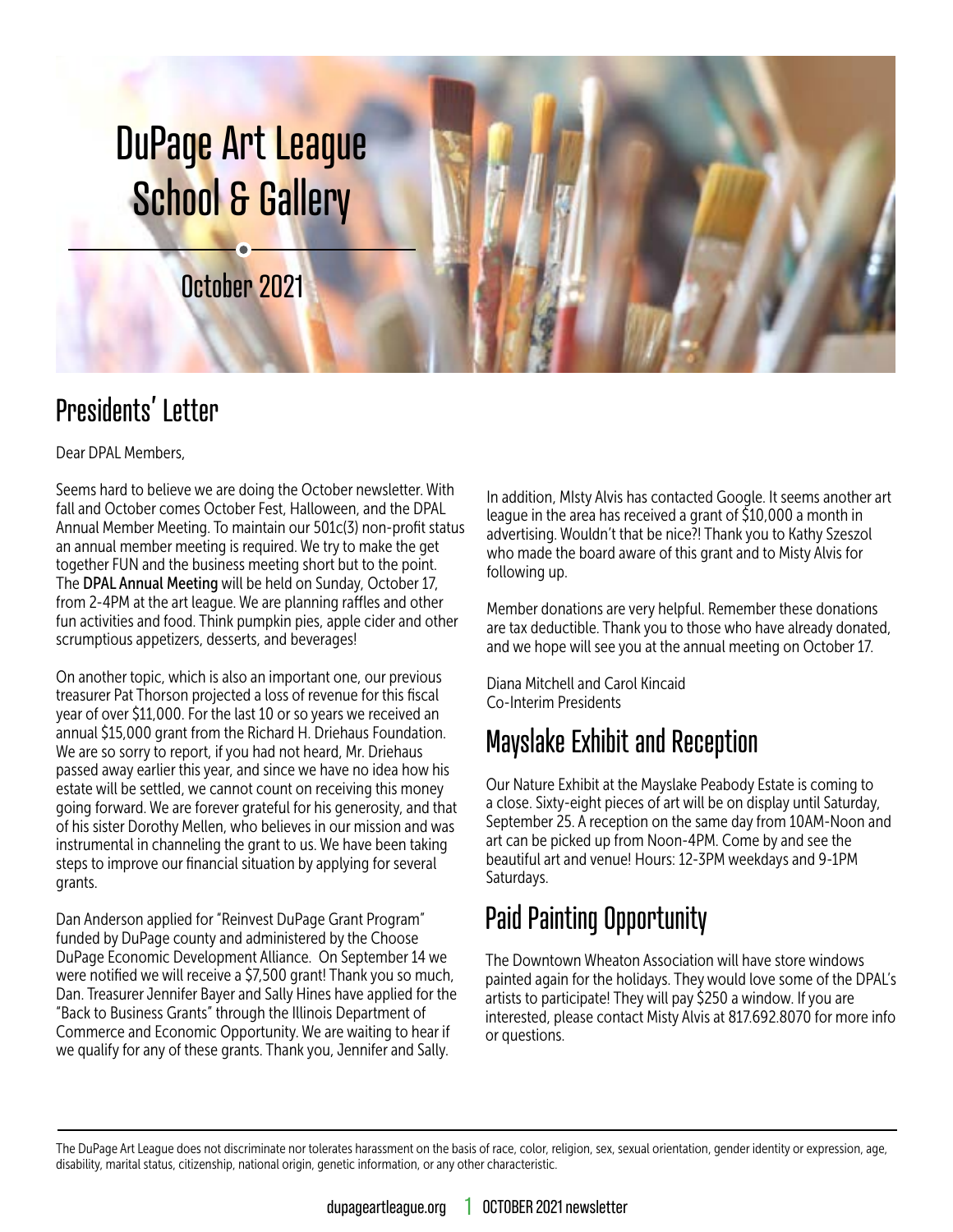

# Presidents' Letter

Dear DPAL Members,

Seems hard to believe we are doing the October newsletter. With fall and October comes October Fest, Halloween, and the DPAL Annual Member Meeting. To maintain our 501c(3) non-profit status an annual member meeting is required. We try to make the get together FUN and the business meeting short but to the point. The DPAL Annual Meeting will be held on Sunday, October 17, from 2-4PM at the art league. We are planning raffles and other fun activities and food. Think pumpkin pies, apple cider and other scrumptious appetizers, desserts, and beverages!

On another topic, which is also an important one, our previous treasurer Pat Thorson projected a loss of revenue for this fiscal year of over \$11,000. For the last 10 or so years we received an annual \$15,000 grant from the Richard H. Driehaus Foundation. We are so sorry to report, if you had not heard, Mr. Driehaus passed away earlier this year, and since we have no idea how his estate will be settled, we cannot count on receiving this money going forward. We are forever grateful for his generosity, and that of his sister Dorothy Mellen, who believes in our mission and was instrumental in channeling the grant to us. We have been taking steps to improve our financial situation by applying for several grants.

Dan Anderson applied for "Reinvest DuPage Grant Program" funded by DuPage county and administered by the Choose DuPage Economic Development Alliance. On September 14 we were notified we will receive a \$7,500 grant! Thank you so much, Dan. Treasurer Jennifer Bayer and Sally Hines have applied for the "Back to Business Grants" through the Illinois Department of Commerce and Economic Opportunity. We are waiting to hear if we qualify for any of these grants. Thank you, Jennifer and Sally.

In addition, MIsty Alvis has contacted Google. It seems another art league in the area has received a grant of \$10,000 a month in advertising. Wouldn't that be nice?! Thank you to Kathy Szeszol who made the board aware of this grant and to Misty Alvis for following up.

Member donations are very helpful. Remember these donations are tax deductible. Thank you to those who have already donated, and we hope will see you at the annual meeting on October 17.

Diana Mitchell and Carol Kincaid Co-Interim Presidents

# Mayslake Exhibit and Reception

Our Nature Exhibit at the Mayslake Peabody Estate is coming to a close. Sixty-eight pieces of art will be on display until Saturday, September 25. A reception on the same day from 10AM-Noon and art can be picked up from Noon-4PM. Come by and see the beautiful art and venue! Hours: 12-3PM weekdays and 9-1PM Saturdays.

# Paid Painting Opportunity

The Downtown Wheaton Association will have store windows painted again for the holidays. They would love some of the DPAL's artists to participate! They will pay \$250 a window. If you are interested, please contact Misty Alvis at 817.692.8070 for more info or questions.

The DuPage Art League does not discriminate nor tolerates harassment on the basis of race, color, religion, sex, sexual orientation, gender identity or expression, age, disability, marital status, citizenship, national origin, genetic information, or any other characteristic.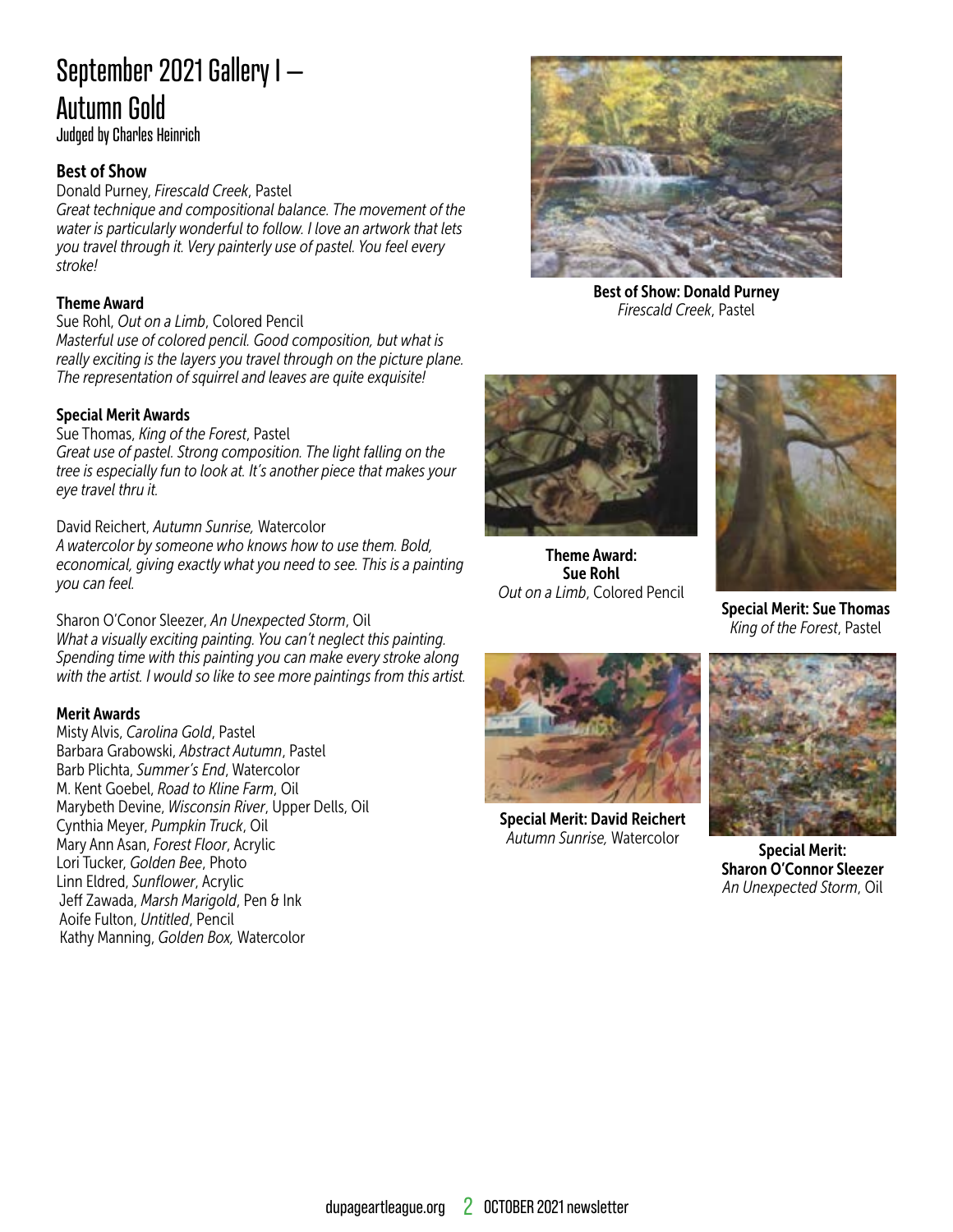# September 2021 Gallery I – Autumn Gold

Judged by Charles Heinrich

#### Best of Show

Donald Purney, *Firescald Creek*, Pastel

*Great technique and compositional balance. The movement of the water is particularly wonderful to follow. I love an artwork that lets you travel through it. Very painterly use of pastel. You feel every stroke!*

#### Theme Award

Sue Rohl, *Out on a Limb*, Colored Pencil *Masterful use of colored pencil. Good composition, but what is really exciting is the layers you travel through on the picture plane. The representation of squirrel and leaves are quite exquisite!*

#### Special Merit Awards

Sue Thomas, *King of the Forest*, Pastel *Great use of pastel. Strong composition. The light falling on the tree is especially fun to look at. It's another piece that makes your eye travel thru it.*

David Reichert, *Autumn Sunrise,* Watercolor

*A watercolor by someone who knows how to use them. Bold, economical, giving exactly what you need to see. This is a painting you can feel.*

Sharon O'Conor Sleezer, *An Unexpected Storm*, Oil *What a visually exciting painting. You can't neglect this painting. Spending time with this painting you can make every stroke along with the artist. I would so like to see more paintings from this artist.*

#### Merit Awards

Misty Alvis, *Carolina Gold*, Pastel Barbara Grabowski, *Abstract Autumn*, Pastel Barb Plichta, *Summer's End*, Watercolor M. Kent Goebel, *Road to Kline Farm*, Oil Marybeth Devine, *Wisconsin River*, Upper Dells, Oil Cynthia Meyer, *Pumpkin Truck*, Oil Mary Ann Asan, *Forest Floor*, Acrylic Lori Tucker, *Golden Bee*, Photo Linn Eldred, *Sunflower*, Acrylic Jeff Zawada, *Marsh Marigold*, Pen & Ink Aoife Fulton, *Untitled*, Pencil Kathy Manning, *Golden Box,* Watercolor



Best of Show: Donald Purney *Firescald Creek*, Pastel



Theme Award: Sue Rohl *Out on a Limb*, Colored Pencil



Special Merit: Sue Thomas *King of the Forest*, Pastel



Special Merit: David Reichert *Autumn Sunrise,* Watercolor



Special Merit: Sharon O'Connor Sleezer *An Unexpected Storm*, Oil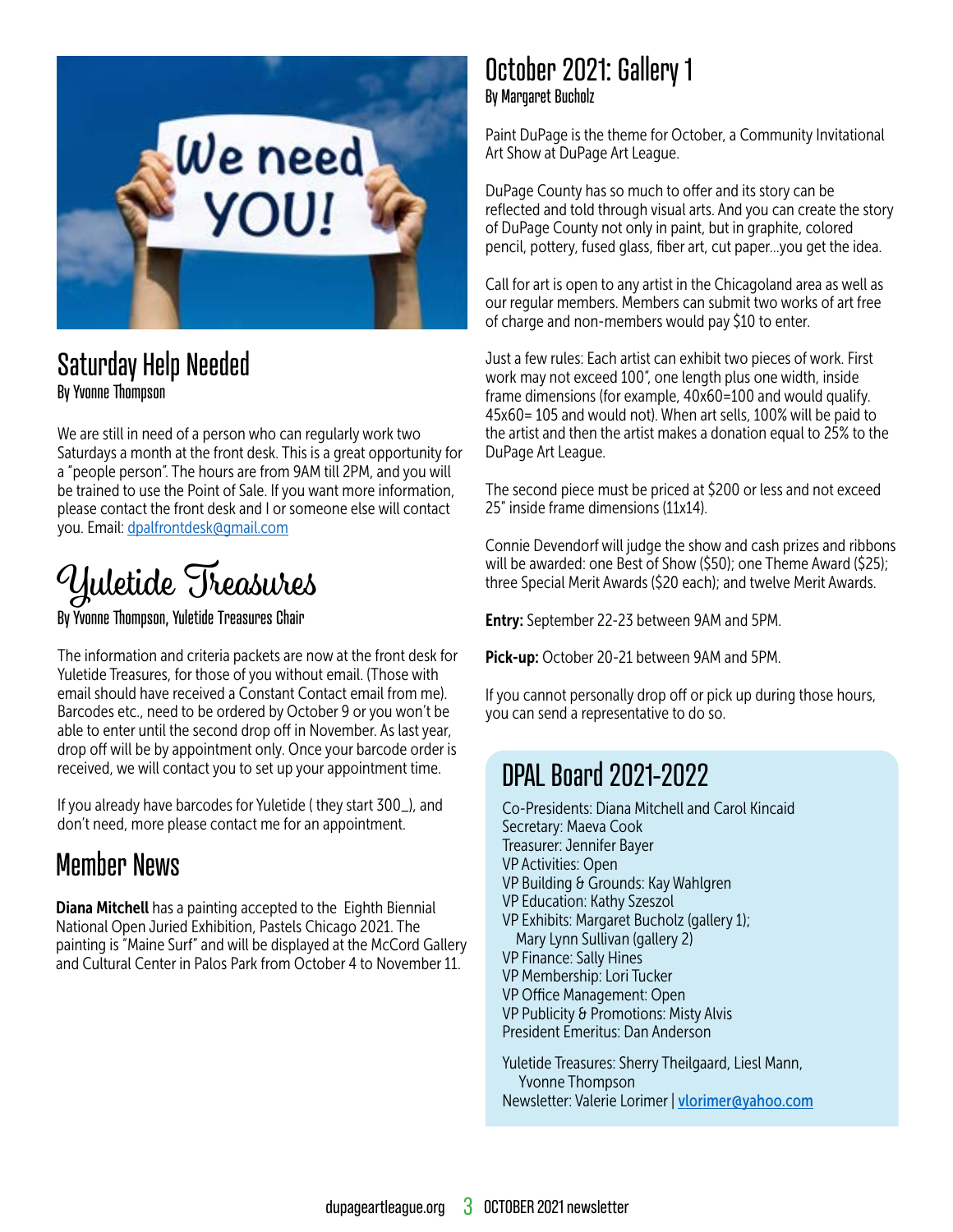

### Saturday Help Needed By Yvonne Thompson

We are still in need of a person who can regularly work two Saturdays a month at the front desk. This is a great opportunity for a "people person". The hours are from 9AM till 2PM, and you will be trained to use the Point of Sale. If you want more information, please contact the front desk and I or someone else will contact you. Email: [dpalfrontdesk@gmail.com](mailto:dpalfrontdesk@gmail.com)

# Yuletide Treasures

By Yvonne Thompson, Yuletide Treasures Chair

The information and criteria packets are now at the front desk for Yuletide Treasures, for those of you without email. (Those with email should have received a Constant Contact email from me). Barcodes etc., need to be ordered by October 9 or you won't be able to enter until the second drop off in November. As last year, drop off will be by appointment only. Once your barcode order is received, we will contact you to set up your appointment time.

If you already have barcodes for Yuletide ( they start 300\_), and don't need, more please contact me for an appointment.

## Member News

**Diana Mitchell** has a painting accepted to the Eighth Biennial National Open Juried Exhibition, Pastels Chicago 2021. The painting is "Maine Surf" and will be displayed at the McCord Gallery and Cultural Center in Palos Park from October 4 to November 11.

### October 2021: Gallery 1 By Margaret Bucholz

Paint DuPage is the theme for October, a Community Invitational Art Show at DuPage Art League.

DuPage County has so much to offer and its story can be reflected and told through visual arts. And you can create the story of DuPage County not only in paint, but in graphite, colored pencil, pottery, fused glass, fiber art, cut paper…you get the idea.

Call for art is open to any artist in the Chicagoland area as well as our regular members. Members can submit two works of art free of charge and non-members would pay \$10 to enter.

Just a few rules: Each artist can exhibit two pieces of work. First work may not exceed 100", one length plus one width, inside frame dimensions (for example, 40x60=100 and would qualify. 45x60= 105 and would not). When art sells, 100% will be paid to the artist and then the artist makes a donation equal to 25% to the DuPage Art League.

The second piece must be priced at \$200 or less and not exceed 25" inside frame dimensions (11x14).

Connie Devendorf will judge the show and cash prizes and ribbons will be awarded: one Best of Show (\$50); one Theme Award (\$25); three Special Merit Awards (\$20 each); and twelve Merit Awards.

**Entry:** September 22-23 between 9AM and 5PM.

Pick-up: October 20-21 between 9AM and 5PM.

If you cannot personally drop off or pick up during those hours, you can send a representative to do so.

## DPAL Board 2021-2022

Co-Presidents: Diana Mitchell and Carol Kincaid Secretary: Maeva Cook Treasurer: Jennifer Bayer VP Activities: Open VP Building & Grounds: Kay Wahlgren VP Education: Kathy Szeszol VP Exhibits: Margaret Bucholz (gallery 1); Mary Lynn Sullivan (gallery 2) VP Finance: Sally Hines VP Membership: Lori Tucker VP Office Management: Open VP Publicity & Promotions: Misty Alvis President Emeritus: Dan Anderson

Yuletide Treasures: Sherry Theilgaard, Liesl Mann, Yvonne Thompson Newsletter: Valerie Lorimer | [vlorimer@yahoo.com](mailto:vlorimer%40yahoo.com?subject=)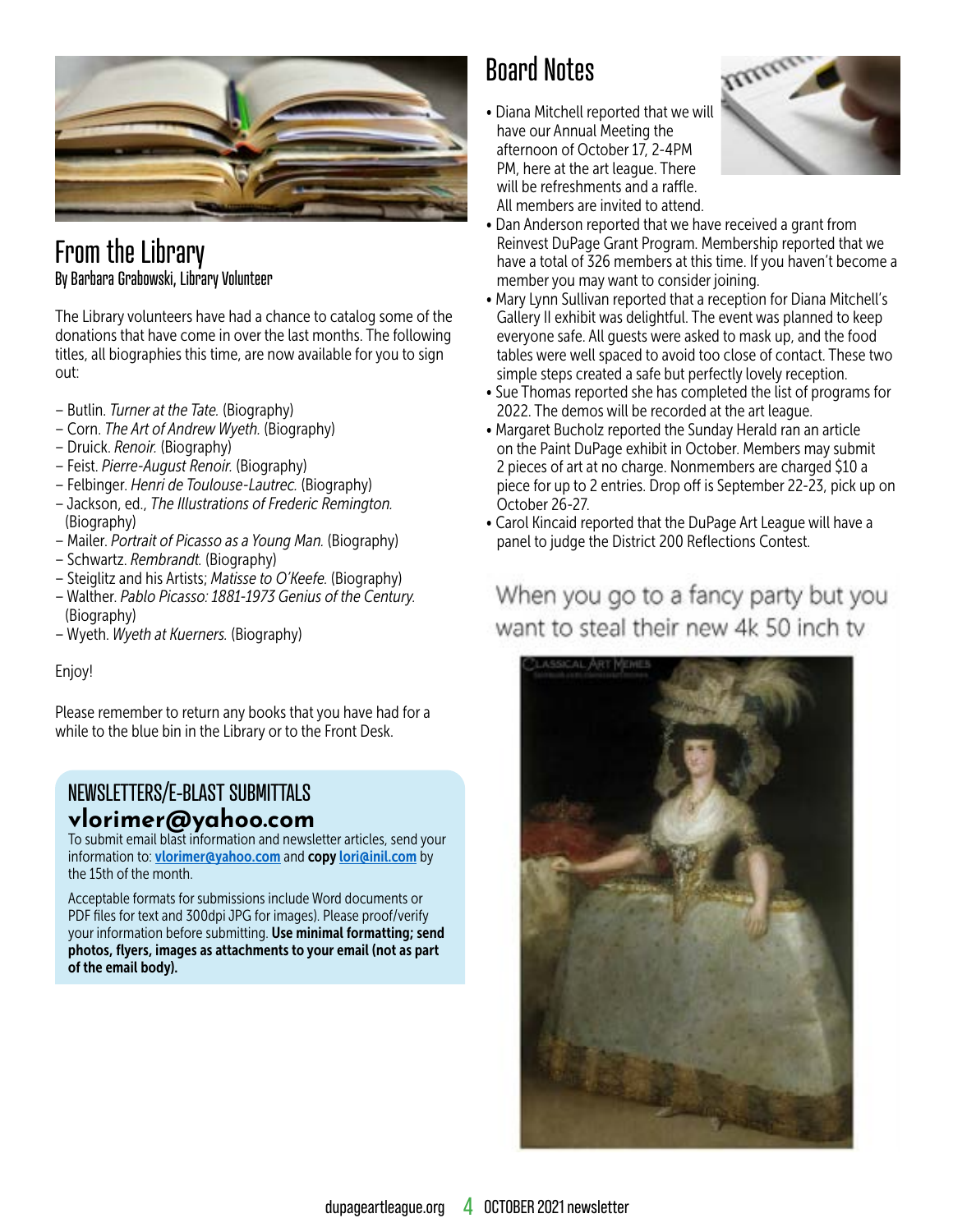

### From the Library By Barbara Grabowski, Library Volunteer

The Library volunteers have had a chance to catalog some of the donations that have come in over the last months. The following titles, all biographies this time, are now available for you to sign out:

- Butlin. *Turner at the Tate.* (Biography)
- Corn. *The Art of Andrew Wyeth.* (Biography)
- Druick. *Renoir.* (Biography)
- Feist. *Pierre-August Renoir.* (Biography)
- Felbinger. *Henri de Toulouse-Lautrec.* (Biography)
- Jackson, ed., *The Illustrations of Frederic Remington.* (Biography)
- Mailer. *Portrait of Picasso as a Young Man.* (Biography)
- Schwartz. *Rembrandt.* (Biography)
- Steiglitz and his Artists; *Matisse to O'Keefe.* (Biography)
- Walther. *Pablo Picasso: 1881-1973 Genius of the Century.*  (Biography)
- Wyeth. *Wyeth at Kuerners.* (Biography)

#### Enjoy!

Please remember to return any books that you have had for a while to the blue bin in the Library or to the Front Desk.

#### NEWSLETTERS/E-BLAST SUBMITTALS **vlorimer@yahoo.com**

To submit email blast information and newsletter articles, send your information to: [vlorimer@yahoo.com](mailto:vlorimer@yahoo.com) and copy lori@inil.com by the 15th of the month.

Acceptable formats for submissions include Word documents or PDF files for text and 300dpi JPG for images). Please proof/verify your information before submitting. Use minimal formatting; send photos, flyers, images as attachments to your email (not as part of the email body).

# Board Notes

• Diana Mitchell reported that we will have our Annual Meeting the afternoon of October 17, 2-4PM PM, here at the art league. There will be refreshments and a raffle. All members are invited to attend.



- Dan Anderson reported that we have received a grant from Reinvest DuPage Grant Program. Membership reported that we have a total of 326 members at this time. If you haven't become a member you may want to consider joining.
- Mary Lynn Sullivan reported that a reception for Diana Mitchell's Gallery II exhibit was delightful. The event was planned to keep everyone safe. All guests were asked to mask up, and the food tables were well spaced to avoid too close of contact. These two simple steps created a safe but perfectly lovely reception.
- Sue Thomas reported she has completed the list of programs for 2022. The demos will be recorded at the art league.
- Margaret Bucholz reported the Sunday Herald ran an article on the Paint DuPage exhibit in October. Members may submit 2 pieces of art at no charge. Nonmembers are charged \$10 a piece for up to 2 entries. Drop off is September 22-23, pick up on October 26-27.
- Carol Kincaid reported that the DuPage Art League will have a panel to judge the District 200 Reflections Contest.

### When you go to a fancy party but you want to steal their new 4k 50 inch tv

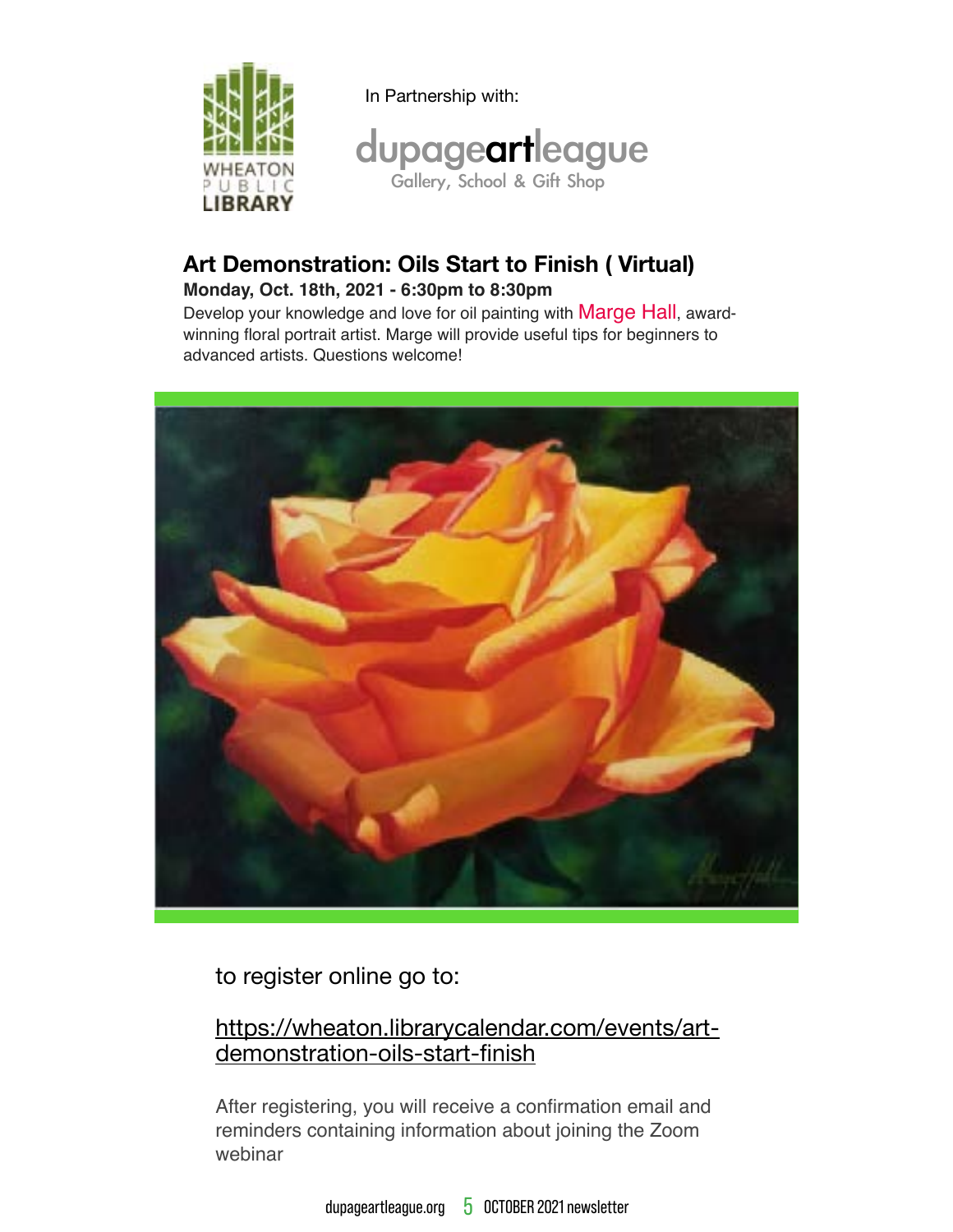

In Partnership with:



### Art Demonstration: Oils Start to Finish (Virtual)

#### Monday, Oct. 18th, 2021 - 6:30pm to 8:30pm

Develop your knowledge and love for oil painting with Marge Hall, awardwinning floral portrait artist. Marge will provide useful tips for beginners to advanced artists. Questions welcome!



to register online go to:

### https://wheaton.librarycalendar.com/events/artdemonstration-oils-start-finish

After registering, you will receive a confirmation email and reminders containing information about joining the Zoom webinar